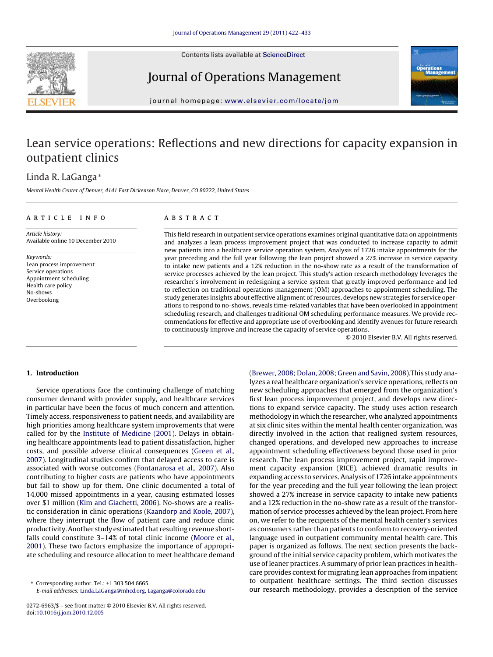Contents lists available at [ScienceDirect](http://www.sciencedirect.com/science/journal/02726963)



## Journal of Operations Management



journal homepage: [www.elsevier.com/locate/jom](http://www.elsevier.com/locate/jom)

## Lean service operations: Reflections and new directions for capacity expansion in outpatient clinics

### Linda R. LaGanga<sup>∗</sup>

Mental Health Center of Denver, 4141 East Dickenson Place, Denver, CO 80222, United States

#### article info

**ABSTRACT** 

Article history: Available online 10 December 2010

Keywords: Lean process improvement Service operations Appointment scheduling Health care policy No-shows Overbooking

This field research in outpatient service operations examines original quantitative data on appointments and analyzes a lean process improvement project that was conducted to increase capacity to admit new patients into a healthcare service operation system. Analysis of 1726 intake appointments for the year preceding and the full year following the lean project showed a 27% increase in service capacity to intake new patients and a 12% reduction in the no-show rate as a result of the transformation of service processes achieved by the lean project. This study's action research methodology leverages the researcher's involvement in redesigning a service system that greatly improved performance and led to reflection on traditional operations management (OM) approaches to appointment scheduling. The study generates insights about effective alignment of resources, develops new strategies for service operations to respond to no-shows, reveals time-related variables that have been overlooked in appointment scheduling research, and challenges traditional OM scheduling performance measures. We provide recommendations for effective and appropriate use of overbooking and identify avenues for future research to continuously improve and increase the capacity of service operations.

© 2010 Elsevier B.V. All rights reserved.

#### **1. Introduction**

Service operations face the continuing challenge of matching consumer demand with provider supply, and healthcare services in particular have been the focus of much concern and attention. Timely access, responsiveness to patient needs, and availability are high priorities among healthcare system improvements that were called for by the [Institute of Medicine \(2001\).](#page--1-0) Delays in obtaining healthcare appointments lead to patient dissatisfaction, higher costs, and possible adverse clinical consequences ([Green et al.,](#page--1-0) [2007\).](#page--1-0) Longitudinal studies confirm that delayed access to care is associated with worse outcomes [\(Fontanarosa et al., 2007\).](#page--1-0) Also contributing to higher costs are patients who have appointments but fail to show up for them. One clinic documented a total of 14,000 missed appointments in a year, causing estimated losses over \$1 million [\(Kim and Giachetti, 2006\).](#page--1-0) No-shows are a realistic consideration in clinic operations [\(Kaandorp and Koole, 2007\),](#page--1-0) where they interrupt the flow of patient care and reduce clinic productivity. Another study estimated that resulting revenue shortfalls could constitute 3–14% of total clinic income [\(Moore et al.,](#page--1-0) [2001\).](#page--1-0) These two factors emphasize the importance of appropriate scheduling and resource allocation to meet healthcare demand

[\(Brewer, 2008; Dolan, 2008; Green and Savin, 2008\).](#page--1-0)This study analyzes a real healthcare organization's service operations, reflects on new scheduling approaches that emerged from the organization's first lean process improvement project, and develops new directions to expand service capacity. The study uses action research methodology in which the researcher, who analyzed appointments at six clinic sites within the mental health center organization, was directly involved in the action that realigned system resources, changed operations, and developed new approaches to increase appointment scheduling effectiveness beyond those used in prior research. The lean process improvement project, rapid improvement capacity expansion (RICE), achieved dramatic results in expanding access to services. Analysis of 1726 intake appointments for the year preceding and the full year following the lean project showed a 27% increase in service capacity to intake new patients and a 12% reduction in the no-show rate as a result of the transformation of service processes achieved by the lean project. From here on, we refer to the recipients of the mental health center's services as consumers rather than patients to conform to recovery-oriented language used in outpatient community mental health care. This paper is organized as follows. The next section presents the background of the initial service capacity problem, which motivates the use of leaner practices. A summary of prior lean practices in healthcare provides context for migrating lean approaches from inpatient to outpatient healthcare settings. The third section discusses our research methodology, provides a description of the service

<sup>∗</sup> Corresponding author. Tel.: +1 303 504 6665. E-mail addresses: [Linda.LaGanga@mhcd.org](mailto:Linda.LaGanga@mhcd.org), [Laganga@colorado.edu](mailto:Laganga@colorado.edu)

<sup>0272-6963/\$ –</sup> see front matter © 2010 Elsevier B.V. All rights reserved. doi:[10.1016/j.jom.2010.12.005](dx.doi.org/10.1016/j.jom.2010.12.005)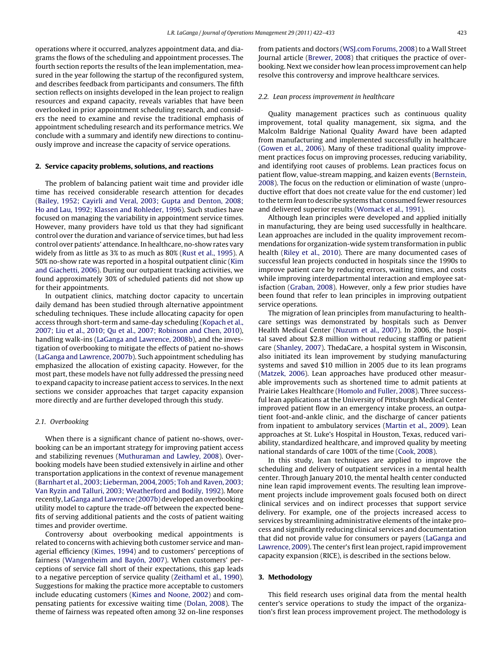operations where it occurred, analyzes appointment data, and diagrams the flows of the scheduling and appointment processes. The fourth section reports the results of the lean implementation, measured in the year following the startup of the reconfigured system, and describes feedback from participants and consumers. The fifth section reflects on insights developed in the lean project to realign resources and expand capacity, reveals variables that have been overlooked in prior appointment scheduling research, and considers the need to examine and revise the traditional emphasis of appointment scheduling research and its performance metrics. We conclude with a summary and identify new directions to continuously improve and increase the capacity of service operations.

#### **2. Service capacity problems, solutions, and reactions**

The problem of balancing patient wait time and provider idle time has received considerable research attention for decades ([Bailey, 1952; Cayirli and Veral, 2003; Gupta and Denton, 2008;](#page--1-0) [Ho and Lau, 1992; Klassen and Rohleder, 1996\).](#page--1-0) Such studies have focused on managing the variability in appointment service times. However, many providers have told us that they had significant control over the duration and variance of service times, but had less control over patients' attendance. In healthcare, no-show rates vary widely from as little as 3% to as much as 80% [\(Rust et al., 1995\).](#page--1-0) A 50% no-show rate was reported in a hospital outpatient clinic ([Kim](#page--1-0) [and Giachetti, 2006\).](#page--1-0) During our outpatient tracking activities, we found approximately 30% of scheduled patients did not show up for their appointments.

In outpatient clinics, matching doctor capacity to uncertain daily demand has been studied through alternative appointment scheduling techniques. These include allocating capacity for open access through short-term and same-day scheduling ([Kopach et al.,](#page--1-0) [2007; Liu et al., 2010; Qu et al., 2007; Robinson and Chen, 2010\),](#page--1-0) handling walk-ins ([LaGanga and Lawrence, 2008b\),](#page--1-0) and the investigation of overbooking to mitigate the effects of patient no-shows ([LaGanga and Lawrence, 2007b\).](#page--1-0) Such appointment scheduling has emphasized the allocation of existing capacity. However, for the most part, these models have not fully addressed the pressing need to expand capacity to increase patient access to services. In the next sections we consider approaches that target capacity expansion more directly and are further developed through this study.

#### 2.1. Overbooking

When there is a significant chance of patient no-shows, overbooking can be an important strategy for improving patient access and stabilizing revenues [\(Muthuraman and Lawley, 2008\).](#page--1-0) Overbooking models have been studied extensively in airline and other transportation applications in the context of revenue management ([Barnhart et al., 2003; Lieberman, 2004, 2005; Toh and Raven, 2003;](#page--1-0) [Van Ryzin and Talluri, 2003; Weatherford and Bodily, 1992\).](#page--1-0) More recently, LaGanga and Lawrence (2007b) developed an overbooking utility model to capture the trade-off between the expected benefits of serving additional patients and the costs of patient waiting times and provider overtime.

Controversy about overbooking medical appointments is related to concerns with achieving both customer service and managerial efficiency ([Kimes, 1994\)](#page--1-0) and to customers' perceptions of fairness ([Wangenheim and Bayón, 2007\).](#page--1-0) When customers' perceptions of service fall short of their expectations, this gap leads to a negative perception of service quality [\(Zeithaml et al., 1990\).](#page--1-0) Suggestions for making the practice more acceptable to customers include educating customers ([Kimes and Noone, 2002\)](#page--1-0) and compensating patients for excessive waiting time ([Dolan, 2008\).](#page--1-0) The theme of fairness was repeated often among 32 on-line responses from patients and doctors [\(WSJ.com Forums, 2008\)](#page--1-0) to a Wall Street Journal article [\(Brewer, 2008\)](#page--1-0) that critiques the practice of overbooking. Next we consider how lean process improvement can help resolve this controversy and improve healthcare services.

#### 2.2. Lean process improvement in healthcare

Quality management practices such as continuous quality improvement, total quality management, six sigma, and the Malcolm Baldrige National Quality Award have been adapted from manufacturing and implemented successfully in healthcare [\(Gowen et al., 2006\).](#page--1-0) Many of these traditional quality improvement practices focus on improving processes, reducing variability, and identifying root causes of problems. Lean practices focus on patient flow, value-stream mapping, and kaizen events [\(Bernstein,](#page--1-0) [2008\).](#page--1-0) The focus on the reduction or elimination of waste (unproductive effort that does not create value for the end customer) led to the term lean to describe systems that consumed fewer resources and delivered superior results [\(Womack et al., 1991\).](#page--1-0)

Although lean principles were developed and applied initially in manufacturing, they are being used successfully in healthcare. Lean approaches are included in the quality improvement recommendations for organization-wide system transformation in public health ([Riley et al., 2010\).](#page--1-0) There are many documented cases of successful lean projects conducted in hospitals since the 1990s to improve patient care by reducing errors, waiting times, and costs while improving interdepartmental interaction and employee satisfaction ([Graban, 2008\).](#page--1-0) However, only a few prior studies have been found that refer to lean principles in improving outpatient service operations.

The migration of lean principles from manufacturing to healthcare settings was demonstrated by hospitals such as Denver Health Medical Center ([Nuzum et al., 2007\).](#page--1-0) In 2006, the hospital saved about \$2.8 million without reducing staffing or patient care [\(Shanley, 2007\).](#page--1-0) ThedaCare, a hospital system in Wisconsin, also initiated its lean improvement by studying manufacturing systems and saved \$10 million in 2005 due to its lean programs [\(Matzek, 2006\).](#page--1-0) Lean approaches have produced other measurable improvements such as shortened time to admit patients at Prairie Lakes Healthcare [\(Homolo and Fuller, 2008\).](#page--1-0) Three successful lean applications at the University of Pittsburgh Medical Center improved patient flow in an emergency intake process, an outpatient foot-and-ankle clinic, and the discharge of cancer patients from inpatient to ambulatory services ([Martin et al., 2009\).](#page--1-0) Lean approaches at St. Luke's Hospital in Houston, Texas, reduced variability, standardized healthcare, and improved quality by meeting national standards of care 100% of the time [\(Cook, 2008\).](#page--1-0)

In this study, lean techniques are applied to improve the scheduling and delivery of outpatient services in a mental health center. Through January 2010, the mental health center conducted nine lean rapid improvement events. The resulting lean improvement projects include improvement goals focused both on direct clinical services and on indirect processes that support service delivery. For example, one of the projects increased access to services by streamlining administrative elements of the intake process and significantly reducing clinical services and documentation that did not provide value for consumers or payers ([LaGanga and](#page--1-0) [Lawrence, 2009\).](#page--1-0) The center's first lean project, rapid improvement capacity expansion (RICE), is described in the sections below.

#### **3. Methodology**

This field research uses original data from the mental health center's service operations to study the impact of the organization's first lean process improvement project. The methodology is